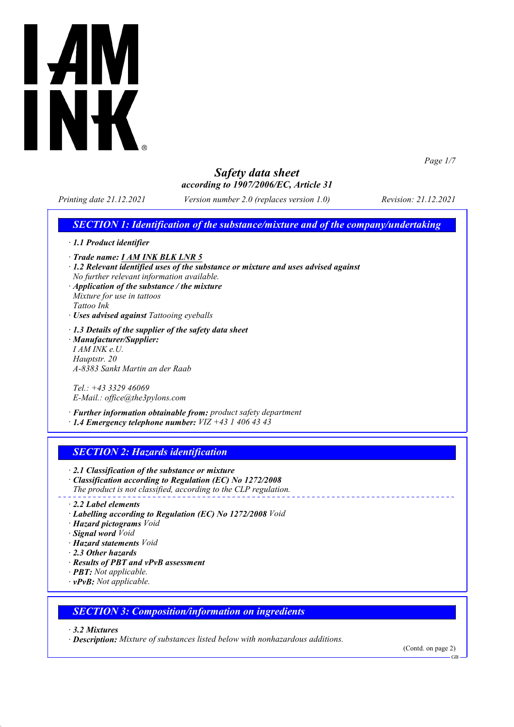

*Page 1/7*

# *Safety data sheet according to 1907/2006/EC, Article 31*

*Printing date 21.12.2021 Version number 2.0 (replaces version 1.0) Revision: 21.12.2021*

# *SECTION 1: Identification of the substance/mixture and of the company/undertaking*

- *· 1.1 Product identifier*
- *· Trade name: I AM INK BLK LNR 5*
- *· 1.2 Relevant identified uses of the substance or mixture and uses advised against No further relevant information available.*
- *· Application of the substance / the mixture Mixture for use in tattoos Tattoo Ink*
- *· Uses advised against Tattooing eyeballs*
- *· 1.3 Details of the supplier of the safety data sheet · Manufacturer/Supplier: I AM INK e.U. Hauptstr. 20 A-8383 Sankt Martin an der Raab*

*Tel.: +43 3329 46069 E-Mail.: office@the3pylons.com*

- *· Further information obtainable from: product safety department*
- *· 1.4 Emergency telephone number: VIZ +43 1 406 43 43*

# *SECTION 2: Hazards identification*

*· 2.1 Classification of the substance or mixture*

- *· Classification according to Regulation (EC) No 1272/2008 The product is not classified, according to the CLP regulation.*
- *· 2.2 Label elements*
- *· Labelling according to Regulation (EC) No 1272/2008 Void*
- *· Hazard pictograms Void*
- *· Signal word Void*
- *· Hazard statements Void*
- *· 2.3 Other hazards*
- *· Results of PBT and vPvB assessment*
- *· PBT: Not applicable.*
- *· vPvB: Not applicable.*

#### *SECTION 3: Composition/information on ingredients*

- *· 3.2 Mixtures*
- *· Description: Mixture of substances listed below with nonhazardous additions.*

(Contd. on page 2)

GB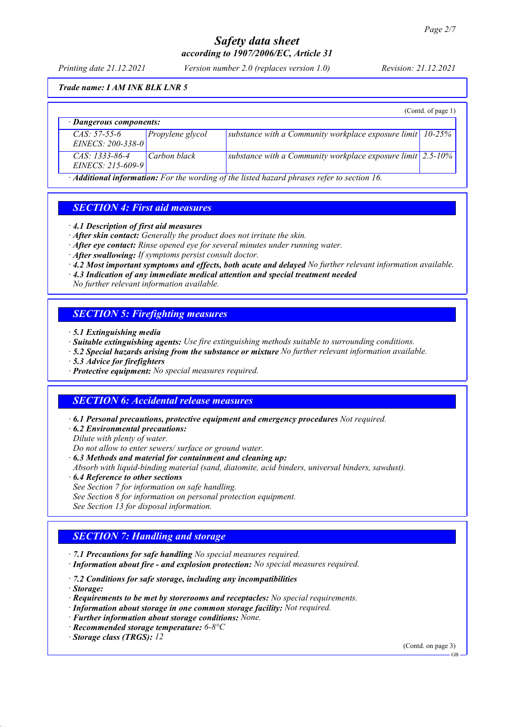*Printing date 21.12.2021 Version number 2.0 (replaces version 1.0) Revision: 21.12.2021*

#### *Trade name: I AM INK BLK LNR 5*

|                                           |                  |                                                                             | (Cond. of page 1) |
|-------------------------------------------|------------------|-----------------------------------------------------------------------------|-------------------|
| · Dangerous components:                   |                  |                                                                             |                   |
| $CAS: 57-55-6$<br>EINECS: $200 - 338 - 0$ | Propylene glycol | substance with a Community workplace exposure limit $ 10-25\% $             |                   |
| $CAS: 1333-86-4$<br>EINECS: 215-609-9     | Carbon black     | substance with a Community workplace exposure limit $\vert$ 2.5-10% $\vert$ |                   |

*· Additional information: For the wording of the listed hazard phrases refer to section 16.*

# *SECTION 4: First aid measures*

- *· 4.1 Description of first aid measures*
- *· After skin contact: Generally the product does not irritate the skin.*
- *· After eye contact: Rinse opened eye for several minutes under running water.*
- *· After swallowing: If symptoms persist consult doctor.*
- *· 4.2 Most important symptoms and effects, both acute and delayed No further relevant information available.*
- *· 4.3 Indication of any immediate medical attention and special treatment needed*
- *No further relevant information available.*

## *SECTION 5: Firefighting measures*

- *· 5.1 Extinguishing media*
- *· Suitable extinguishing agents: Use fire extinguishing methods suitable to surrounding conditions.*
- *· 5.2 Special hazards arising from the substance or mixture No further relevant information available.*
- *· 5.3 Advice for firefighters*
- *· Protective equipment: No special measures required.*

#### *SECTION 6: Accidental release measures*

- *· 6.1 Personal precautions, protective equipment and emergency procedures Not required.*
- *· 6.2 Environmental precautions:*

*Dilute with plenty of water.*

*Do not allow to enter sewers/ surface or ground water.*

- *· 6.3 Methods and material for containment and cleaning up:*
- *Absorb with liquid-binding material (sand, diatomite, acid binders, universal binders, sawdust).*
- *· 6.4 Reference to other sections*
- *See Section 7 for information on safe handling.*
- *See Section 8 for information on personal protection equipment.*
- *See Section 13 for disposal information.*

#### *SECTION 7: Handling and storage*

- *· 7.1 Precautions for safe handling No special measures required.*
- *· Information about fire and explosion protection: No special measures required.*
- *· 7.2 Conditions for safe storage, including any incompatibilities*
- *· Storage:*
- *· Requirements to be met by storerooms and receptacles: No special requirements.*
- *· Information about storage in one common storage facility: Not required.*
- *· Further information about storage conditions: None.*
- *· Recommended storage temperature: 6-8°C*
- *· Storage class (TRGS): 12*

(Contd. on page 3)

GB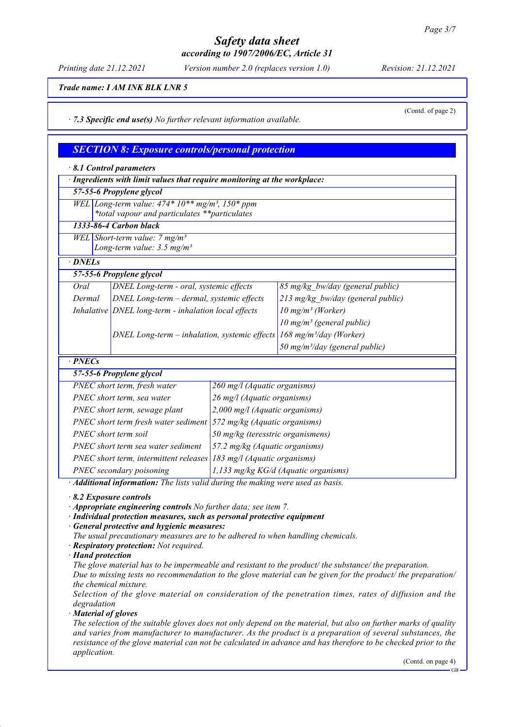*Printing date 21.12.2021 Version number 2.0 (replaces version 1.0) Revision: 21.12.2021*

(Contd. of page 2)

*Trade name: I AM INK BLK LNR 5*

*· 7.3 Specific end use(s) No further relevant information available.*

| <b>SECTION 8: Exposure controls/personal protection</b> |  |  |  |
|---------------------------------------------------------|--|--|--|
|---------------------------------------------------------|--|--|--|

| $\cdot$ 8.1 Control parameters                                                                                                                                                                                                                                                                                                                              |                                                                                      |                                      |                                            |  |
|-------------------------------------------------------------------------------------------------------------------------------------------------------------------------------------------------------------------------------------------------------------------------------------------------------------------------------------------------------------|--------------------------------------------------------------------------------------|--------------------------------------|--------------------------------------------|--|
| · Ingredients with limit values that require monitoring at the workplace:                                                                                                                                                                                                                                                                                   |                                                                                      |                                      |                                            |  |
|                                                                                                                                                                                                                                                                                                                                                             | 57-55-6 Propylene glycol                                                             |                                      |                                            |  |
|                                                                                                                                                                                                                                                                                                                                                             | WEL Long-term value: $474*10**mg/m^3$ , $150*ppm$                                    |                                      |                                            |  |
|                                                                                                                                                                                                                                                                                                                                                             | *total vapour and particulates **particulates                                        |                                      |                                            |  |
|                                                                                                                                                                                                                                                                                                                                                             | 1333-86-4 Carbon black                                                               |                                      |                                            |  |
|                                                                                                                                                                                                                                                                                                                                                             | WEL Short-term value: $7 \text{ mg/m}^3$<br>Long-term value: $3.5$ mg/m <sup>3</sup> |                                      |                                            |  |
|                                                                                                                                                                                                                                                                                                                                                             |                                                                                      |                                      |                                            |  |
| · DNELs                                                                                                                                                                                                                                                                                                                                                     |                                                                                      |                                      |                                            |  |
|                                                                                                                                                                                                                                                                                                                                                             | 57-55-6 Propylene glycol                                                             |                                      |                                            |  |
| Oral                                                                                                                                                                                                                                                                                                                                                        | DNEL Long-term - oral, systemic effects                                              |                                      | 85 mg/kg bw/day (general public)           |  |
| Dermal                                                                                                                                                                                                                                                                                                                                                      | DNEL Long-term - dermal, systemic effects                                            |                                      | 213 mg/kg bw/day (general public)          |  |
|                                                                                                                                                                                                                                                                                                                                                             | Inhalative DNEL long-term - inhalation local effects                                 |                                      | 10 mg/m <sup>3</sup> (Worker)              |  |
|                                                                                                                                                                                                                                                                                                                                                             |                                                                                      |                                      | 10 mg/m <sup>3</sup> (general public)      |  |
|                                                                                                                                                                                                                                                                                                                                                             | DNEL Long-term – inhalation, systemic effects $168$ mg/m <sup>3</sup> /day (Worker)  |                                      |                                            |  |
|                                                                                                                                                                                                                                                                                                                                                             |                                                                                      |                                      | 50 mg/m <sup>3</sup> /day (general public) |  |
| $\cdot$ PNECs                                                                                                                                                                                                                                                                                                                                               |                                                                                      |                                      |                                            |  |
|                                                                                                                                                                                                                                                                                                                                                             | 57-55-6 Propylene glycol                                                             |                                      |                                            |  |
| PNEC short term, fresh water                                                                                                                                                                                                                                                                                                                                |                                                                                      | 260 mg/l (Aquatic organisms)         |                                            |  |
|                                                                                                                                                                                                                                                                                                                                                             | PNEC short term, sea water                                                           | 26 mg/l (Aquatic organisms)          |                                            |  |
|                                                                                                                                                                                                                                                                                                                                                             | PNEC short term, sewage plant                                                        |                                      | 2,000 mg/l (Aquatic organisms)             |  |
| PNEC short term fresh water sediment $\frac{572 \text{ mg/kg}}{4\text{ quatic organisms}}$                                                                                                                                                                                                                                                                  |                                                                                      |                                      |                                            |  |
| PNEC short term soil                                                                                                                                                                                                                                                                                                                                        |                                                                                      | 50 mg/kg (teresstric organismens)    |                                            |  |
| PNEC short term sea water sediment                                                                                                                                                                                                                                                                                                                          |                                                                                      | 57.2 mg/kg (Aquatic organisms)       |                                            |  |
| PNEC short term, intermittent releases $183$ mg/l (Aquatic organisms)                                                                                                                                                                                                                                                                                       |                                                                                      |                                      |                                            |  |
| PNEC secondary poisoning                                                                                                                                                                                                                                                                                                                                    |                                                                                      | 1,133 mg/kg KG/d (Aquatic organisms) |                                            |  |
| · Additional information: The lists valid during the making were used as basis.                                                                                                                                                                                                                                                                             |                                                                                      |                                      |                                            |  |
| 8.2 Exposure controls<br>$\mathbf{1}$ $\mathbf{1}$ $\mathbf{1}$ $\mathbf{1}$ $\mathbf{1}$ $\mathbf{1}$ $\mathbf{1}$ $\mathbf{1}$ $\mathbf{1}$ $\mathbf{1}$ $\mathbf{1}$ $\mathbf{1}$ $\mathbf{1}$ $\mathbf{1}$ $\mathbf{1}$ $\mathbf{1}$ $\mathbf{1}$ $\mathbf{1}$ $\mathbf{1}$ $\mathbf{1}$ $\mathbf{1}$ $\mathbf{1}$ $\mathbf{1}$ $\mathbf{1}$ $\mathbf{$ |                                                                                      |                                      |                                            |  |

*· Appropriate engineering controls No further data; see item 7.*

*· Individual protection measures, such as personal protective equipment*

*· General protective and hygienic measures:*

*The usual precautionary measures are to be adhered to when handling chemicals.*

- *· Respiratory protection: Not required.*
- *· Hand protection*

*The glove material has to be impermeable and resistant to the product/ the substance/ the preparation.*

*Due to missing tests no recommendation to the glove material can be given for the product/ the preparation/ the chemical mixture.*

*Selection of the glove material on consideration of the penetration times, rates of diffusion and the degradation*

*· Material of gloves*

*The selection of the suitable gloves does not only depend on the material, but also on further marks of quality and varies from manufacturer to manufacturer. As the product is a preparation of several substances, the resistance of the glove material can not be calculated in advance and has therefore to be checked prior to the application.*

(Contd. on page 4)

GB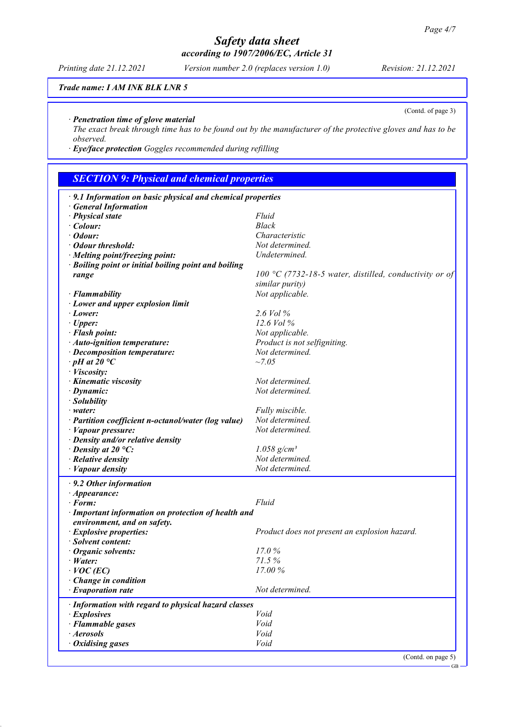#### *Printing date 21.12.2021 Version number 2.0 (replaces version 1.0) Revision: 21.12.2021*

*Trade name: I AM INK BLK LNR 5*

*· Penetration time of glove material*

*The exact break through time has to be found out by the manufacturer of the protective gloves and has to be observed.*

*· Eye/face protection Goggles recommended during refilling*

# *SECTION 9: Physical and chemical properties*

| $\cdot$ 9.1 Information on basic physical and chemical properties |                                                        |
|-------------------------------------------------------------------|--------------------------------------------------------|
| <b>General Information</b>                                        |                                                        |
| · Physical state                                                  | Fluid                                                  |
| $\cdot$ Colour:                                                   | Black                                                  |
| $\cdot$ Odour:                                                    | Characteristic                                         |
| · Odour threshold:                                                | Not determined.                                        |
| · Melting point/freezing point:                                   | Undetermined.                                          |
| · Boiling point or initial boiling point and boiling              |                                                        |
| range                                                             | 100 °C (7732-18-5 water, distilled, conductivity or of |
|                                                                   | similar purity)                                        |
| · Flammability                                                    | Not applicable.                                        |
| · Lower and upper explosion limit                                 |                                                        |
| · Lower:                                                          | 2.6 Vol %                                              |
| $\cdot$ Upper:                                                    | 12.6 Vol %                                             |
| · Flash point:                                                    | Not applicable.                                        |
| · Auto-ignition temperature:                                      | Product is not selfigniting.                           |
| · Decomposition temperature:                                      | Not determined.                                        |
| $\cdot$ pH at 20 $\degree$ C                                      | $~1 - 7.05$                                            |
| · Viscosity:                                                      |                                                        |
| · Kinematic viscosity                                             | Not determined.                                        |
| $\cdot$ Dynamic:                                                  | Not determined.                                        |
| · Solubility                                                      |                                                        |
| $\cdot$ water:                                                    | Fully miscible.                                        |
| · Partition coefficient n-octanol/water (log value)               | Not determined.                                        |
| · Vapour pressure:                                                | Not determined.                                        |
| · Density and/or relative density                                 |                                                        |
| $\cdot$ Density at 20 °C:                                         | $1.058$ g/cm <sup>3</sup>                              |
| $\cdot$ Relative density                                          | Not determined.                                        |
| $\cdot$ <i>Vapour density</i>                                     | Not determined.                                        |
|                                                                   |                                                        |
| $\cdot$ 9.2 Other information                                     |                                                        |
| $\cdot$ Appearance:                                               |                                                        |
| $\cdot$ Form:                                                     | Fluid                                                  |
| · Important information on protection of health and               |                                                        |
| environment, and on safety.                                       |                                                        |
| · Explosive properties:                                           | Product does not present an explosion hazard.          |
| · Solvent content:                                                |                                                        |
| Organic solvents:                                                 | 17.0%                                                  |
| $\cdot$ Water:                                                    | 71.5%                                                  |
| $\cdot$ VOC (EC)                                                  | 17.00%                                                 |
| Change in condition                                               |                                                        |
| $\cdot$ Evaporation rate                                          | Not determined.                                        |
| · Information with regard to physical hazard classes              |                                                        |
| $\cdot$ Explosives                                                | Void                                                   |
| · Flammable gases                                                 | Void                                                   |
| · Aerosols                                                        | Void                                                   |
| $\cdot$ Oxidising gases                                           | Void                                                   |
|                                                                   |                                                        |
|                                                                   | (Contd. on page 5)                                     |

(Contd. of page 3)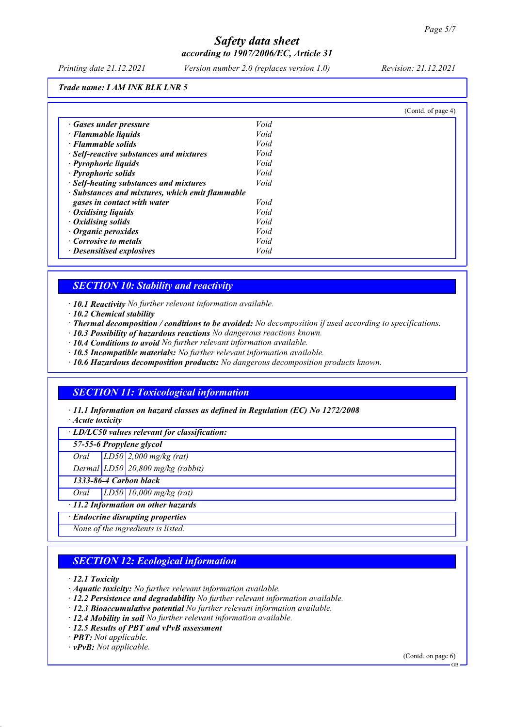*Printing date 21.12.2021 Version number 2.0 (replaces version 1.0) Revision: 21.12.2021*

*Trade name: I AM INK BLK LNR 5*

|                                                 |      | (Contd. of page 4) |
|-------------------------------------------------|------|--------------------|
| · Gases under pressure                          | Void |                    |
| · Flammable liquids                             | Void |                    |
| · Flammable solids                              | Void |                    |
| · Self-reactive substances and mixtures         | Void |                    |
| · Pyrophoric liquids                            | Void |                    |
| · Pyrophoric solids                             | Void |                    |
| · Self-heating substances and mixtures          | Void |                    |
| · Substances and mixtures, which emit flammable |      |                    |
| gases in contact with water                     | Void |                    |
| $\cdot$ Oxidising liquids                       | Void |                    |
| $\cdot$ Oxidising solids                        | Void |                    |
| $\cdot$ Organic peroxides                       | Void |                    |
| Corrosive to metals                             | Void |                    |
| · Desensitised explosives                       | Void |                    |

## *SECTION 10: Stability and reactivity*

*· 10.1 Reactivity No further relevant information available.*

- *· 10.2 Chemical stability*
- *· Thermal decomposition / conditions to be avoided: No decomposition if used according to specifications.*
- *· 10.3 Possibility of hazardous reactions No dangerous reactions known.*
- *· 10.4 Conditions to avoid No further relevant information available.*
- *· 10.5 Incompatible materials: No further relevant information available.*
- *· 10.6 Hazardous decomposition products: No dangerous decomposition products known.*

## *SECTION 11: Toxicological information*

*· 11.1 Information on hazard classes as defined in Regulation (EC) No 1272/2008*

*· Acute toxicity*

*· LD/LC50 values relevant for classification:*

*57-55-6 Propylene glycol*

*Oral LD50 2,000 mg/kg (rat)*

*Dermal LD50 20,800 mg/kg (rabbit)*

*1333-86-4 Carbon black*

*Oral LD50 10,000 mg/kg (rat)*

*· 11.2 Information on other hazards*

*· Endocrine disrupting properties*

*None of the ingredients is listed.*

# *SECTION 12: Ecological information*

*· 12.1 Toxicity*

- *· Aquatic toxicity: No further relevant information available.*
- *· 12.2 Persistence and degradability No further relevant information available.*
- *· 12.3 Bioaccumulative potential No further relevant information available.*
- *· 12.4 Mobility in soil No further relevant information available.*
- *· 12.5 Results of PBT and vPvB assessment*
- *· PBT: Not applicable.*

*· vPvB: Not applicable.*

(Contd. on page 6)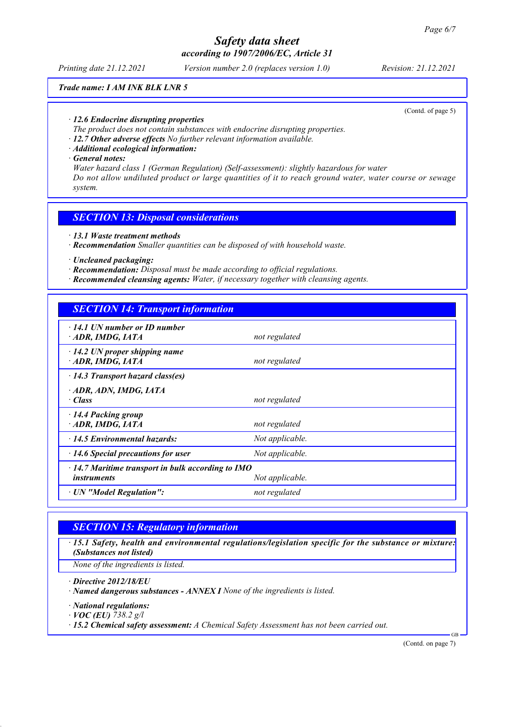*Printing date 21.12.2021 Version number 2.0 (replaces version 1.0) Revision: 21.12.2021*

#### *Trade name: I AM INK BLK LNR 5*

(Contd. of page 5)

- *· 12.6 Endocrine disrupting properties*
- *The product does not contain substances with endocrine disrupting properties.*
- *· 12.7 Other adverse effects No further relevant information available.*
- *· Additional ecological information:*
- *· General notes:*

*Water hazard class 1 (German Regulation) (Self-assessment): slightly hazardous for water Do not allow undiluted product or large quantities of it to reach ground water, water course or sewage system.*

### *SECTION 13: Disposal considerations*

- *· 13.1 Waste treatment methods*
- *· Recommendation Smaller quantities can be disposed of with household waste.*
- *· Uncleaned packaging:*
- *· Recommendation: Disposal must be made according to official regulations.*
- *· Recommended cleansing agents: Water, if necessary together with cleansing agents.*

## *SECTION 14: Transport information*

| $\cdot$ 14.1 UN number or ID number<br>ADR, IMDG, IATA                                            | not regulated   |
|---------------------------------------------------------------------------------------------------|-----------------|
| $\cdot$ 14.2 UN proper shipping name<br>ADR, IMDG, IATA                                           | not regulated   |
| $\cdot$ 14.3 Transport hazard class(es)                                                           |                 |
| ADR, ADN, IMDG, IATA<br>· Class                                                                   | not regulated   |
| 14.4 Packing group<br>ADR, IMDG, IATA                                                             | not regulated   |
| 14.5 Environmental hazards:                                                                       | Not applicable. |
| $\cdot$ 14.6 Special precautions for user                                                         | Not applicable. |
| $\cdot$ 14.7 Maritime transport in bulk according to IMO<br>Not applicable.<br><i>instruments</i> |                 |
| · UN "Model Regulation":                                                                          | not regulated   |

# *SECTION 15: Regulatory information*

*· 15.1 Safety, health and environmental regulations/legislation specific for the substance or mixture: (Substances not listed)*

*None of the ingredients is listed.*

*· Directive 2012/18/EU*

*· Named dangerous substances - ANNEX I None of the ingredients is listed.*

*· National regulations:*

*· VOC (EU) 738.2 g/l*

*· 15.2 Chemical safety assessment: A Chemical Safety Assessment has not been carried out.*

(Contd. on page 7)